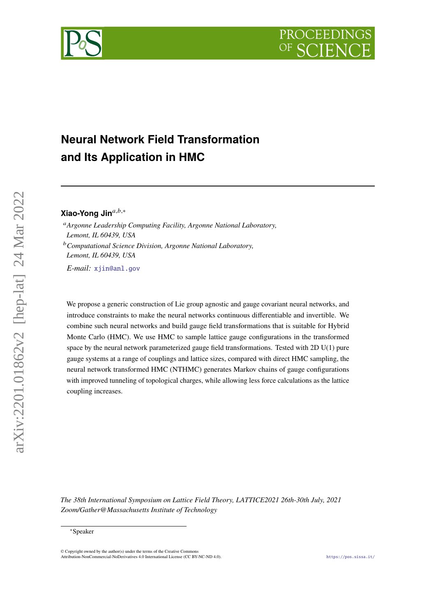# **Neural Network Field Transformation and Its Application in HMC**

Xiao-Yong Jin<sup>a,b,∗</sup>

*Argonne Leadership Computing Facility, Argonne National Laboratory, Lemont, IL 60439, USA Computational Science Division, Argonne National Laboratory,*

*Lemont, IL 60439, USA*

*E-mail:* [xjin@anl.gov](mailto:xjin@anl.gov)

We propose a generic construction of Lie group agnostic and gauge covariant neural networks, and introduce constraints to make the neural networks continuous differentiable and invertible. We combine such neural networks and build gauge field transformations that is suitable for Hybrid Monte Carlo (HMC). We use HMC to sample lattice gauge configurations in the transformed space by the neural network parameterized gauge field transformations. Tested with 2D U(1) pure gauge systems at a range of couplings and lattice sizes, compared with direct HMC sampling, the neural network transformed HMC (NTHMC) generates Markov chains of gauge configurations with improved tunneling of topological charges, while allowing less force calculations as the lattice coupling increases.

*The 38th International Symposium on Lattice Field Theory, LATTICE2021 26th-30th July, 2021 Zoom/Gather@Massachusetts Institute of Technology*



<sup>∗</sup>Speaker

<sup>©</sup> Copyright owned by the author(s) under the terms of the Creative Commons Attribution-NonCommercial-NoDerivatives 4.0 International License (CC BY-NC-ND 4.0). <https://pos.sissa.it/>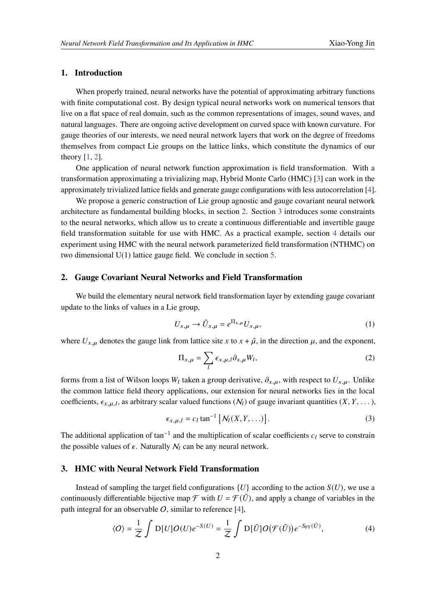# **1. Introduction**

When properly trained, neural networks have the potential of approximating arbitrary functions with finite computational cost. By design typical neural networks work on numerical tensors that live on a flat space of real domain, such as the common representations of images, sound waves, and natural languages. There are ongoing active development on curved space with known curvature. For gauge theories of our interests, we need neural network layers that work on the degree of freedoms themselves from compact Lie groups on the lattice links, which constitute the dynamics of our theory [\[1,](#page-7-0) [2\]](#page-7-1).

One application of neural network function approximation is field transformation. With a transformation approximating a trivializing map, Hybrid Monte Carlo (HMC) [\[3\]](#page-7-2) can work in the approximately trivialized lattice fields and generate gauge configurations with less autocorrelation [\[4\]](#page-7-3).

We propose a generic construction of Lie group agnostic and gauge covariant neural network architecture as fundamental building blocks, in section [2.](#page-1-0) Section [3](#page-1-1) introduces some constraints to the neural networks, which allow us to create a continuous differentiable and invertible gauge field transformation suitable for use with HMC. As a practical example, section [4](#page-2-0) details our experiment using HMC with the neural network parameterized field transformation (NTHMC) on two dimensional U(1) lattice gauge field. We conclude in section [5.](#page-6-0)

## <span id="page-1-0"></span>**2. Gauge Covariant Neural Networks and Field Transformation**

We build the elementary neural network field transformation layer by extending gauge covariant update to the links of values in a Lie group,

<span id="page-1-2"></span>
$$
U_{x,\mu} \to \tilde{U}_{x,\mu} = e^{\Pi_{x,\mu}} U_{x,\mu},\tag{1}
$$

where  $U_{x,\mu}$  denotes the gauge link from lattice site x to  $x + \hat{\mu}$ , in the direction  $\mu$ , and the exponent,

<span id="page-1-4"></span>
$$
\Pi_{x,\mu} = \sum_{l} \epsilon_{x,\mu,l} \partial_{x,\mu} W_l,
$$
\n(2)

forms from a list of Wilson loops  $W_l$  taken a group derivative,  $\partial_{x,\mu}$ , with respect to  $U_{x,\mu}$ . Unlike the common lattice field theory applications, our extension for neural networks lies in the local coefficients,  $\epsilon_{x,\mu,l}$ , as arbitrary scalar valued functions  $(N_l)$  of gauge invariant quantities  $(X, Y, \dots)$ ,

<span id="page-1-3"></span>
$$
\epsilon_{x,\mu,l} = c_l \tan^{-1} \left[ \mathcal{N}_l(X,Y,\ldots) \right]. \tag{3}
$$

The additional application of tan<sup>-1</sup> and the multiplication of scalar coefficients  $c_l$  serve to constrain the possible values of  $\epsilon$ . Naturally  $N_l$  can be any neural network.

## <span id="page-1-1"></span>**3. HMC with Neural Network Field Transformation**

Instead of sampling the target field configurations  ${U}$  according to the action  $S(U)$ , we use a continuously differentiable bijective map  $\mathcal F$  with  $U = \mathcal F(\tilde U)$ , and apply a change of variables in the path integral for an observable  $O$ , similar to reference [\[4\]](#page-7-3),

$$
\langle O \rangle = \frac{1}{Z} \int D[U] O(U) e^{-S(U)} = \frac{1}{Z} \int D[\tilde{U}] O(\mathcal{F}(\tilde{U})) e^{-S_{\text{FT}}(\tilde{U})}, \tag{4}
$$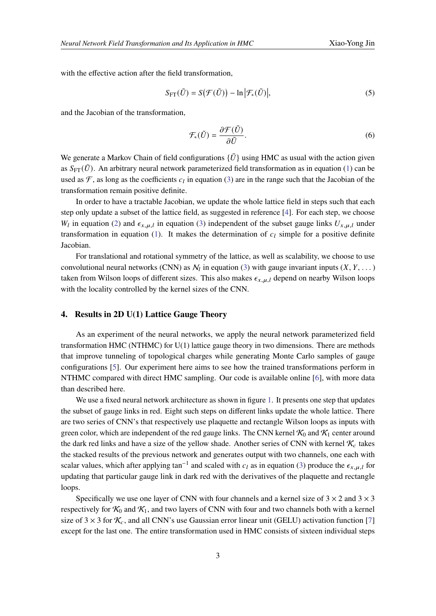with the effective action after the field transformation,

$$
S_{\text{FT}}(\tilde{U}) = S(\mathcal{F}(\tilde{U})) - \ln |\mathcal{F}_*(\tilde{U})|,
$$
\n(5)

and the Jacobian of the transformation,

$$
\mathcal{F}_{*}(\tilde{U}) = \frac{\partial \mathcal{F}(\tilde{U})}{\partial \tilde{U}}.
$$
\n
$$
(6)
$$

We generate a Markov Chain of field configurations  $\{\tilde{U}\}\$  using HMC as usual with the action given as  $S_{\text{FT}}(\tilde{U})$ . An arbitrary neural network parameterized field transformation as in equation [\(1\)](#page-1-2) can be used as  $\mathcal F$ , as long as the coefficients  $c_l$  in equation [\(3\)](#page-1-3) are in the range such that the Jacobian of the transformation remain positive definite.

In order to have a tractable Jacobian, we update the whole lattice field in steps such that each step only update a subset of the lattice field, as suggested in reference [\[4\]](#page-7-3). For each step, we choose  $W_l$  in equation [\(2\)](#page-1-4) and  $\epsilon_{x,\mu,l}$  in equation [\(3\)](#page-1-3) independent of the subset gauge links  $U_{x,\mu,l}$  under transformation in equation [\(1\)](#page-1-2). It makes the determination of  $c_l$  simple for a positive definite Jacobian.

For translational and rotational symmetry of the lattice, as well as scalability, we choose to use convolutional neural networks (CNN) as  $\mathcal{N}_l$  in equation [\(3\)](#page-1-3) with gauge invariant inputs  $(X, Y, \dots)$ taken from Wilson loops of different sizes. This also makes  $\epsilon_{x,\mu,l}$  depend on nearby Wilson loops with the locality controlled by the kernel sizes of the CNN.

#### <span id="page-2-0"></span>**4. Results in 2D U(1) Lattice Gauge Theory**

As an experiment of the neural networks, we apply the neural network parameterized field transformation HMC (NTHMC) for U(1) lattice gauge theory in two dimensions. There are methods that improve tunneling of topological charges while generating Monte Carlo samples of gauge configurations [\[5\]](#page-7-4). Our experiment here aims to see how the trained transformations perform in NTHMC compared with direct HMC sampling. Our code is available online [\[6\]](#page-7-5), with more data than described here.

We use a fixed neural network architecture as shown in figure [1.](#page-3-0) It presents one step that updates the subset of gauge links in red. Eight such steps on different links update the whole lattice. There are two series of CNN's that respectively use plaquette and rectangle Wilson loops as inputs with green color, which are independent of the red gauge links. The CNN kernel  $K_0$  and  $K_1$  center around the dark red links and have a size of the yellow shade. Another series of CNN with kernel  $\mathcal{K}_c$  takes the stacked results of the previous network and generates output with two channels, one each with scalar values, which after applying tan<sup>-1</sup> and scaled with  $c_l$  as in equation [\(3\)](#page-1-3) produce the  $\epsilon_{x,\mu,l}$  for updating that particular gauge link in dark red with the derivatives of the plaquette and rectangle loops.

Specifically we use one layer of CNN with four channels and a kernel size of  $3 \times 2$  and  $3 \times 3$ respectively for  $K_0$  and  $K_1$ , and two layers of CNN with four and two channels both with a kernel size of 3  $\times$  3 for  $\mathcal{K}_c$ , and all CNN's use Gaussian error linear unit (GELU) activation function [\[7\]](#page-7-6) except for the last one. The entire transformation used in HMC consists of sixteen individual steps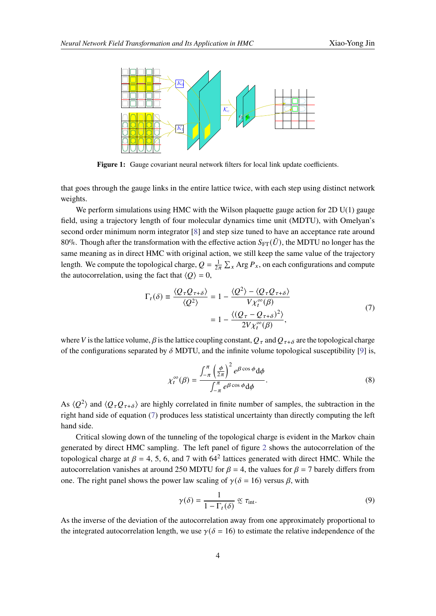<span id="page-3-0"></span>

Figure 1: Gauge covariant neural network filters for local link update coefficients.

that goes through the gauge links in the entire lattice twice, with each step using distinct network weights.

We perform simulations using HMC with the Wilson plaquette gauge action for  $2D U(1)$  gauge field, using a trajectory length of four molecular dynamics time unit (MDTU), with Omelyan's second order minimum norm integrator [\[8\]](#page-7-7) and step size tuned to have an acceptance rate around 80%. Though after the transformation with the effective action  $S_{\text{FT}}(\tilde{U})$ , the MDTU no longer has the same meaning as in direct HMC with original action, we still keep the same value of the trajectory length. We compute the topological charge,  $Q = \frac{1}{2\pi} \sum_{x} Arg P_x$ , on each configurations and compute the autocorrelation, using the fact that  $\langle Q \rangle = 0$ ,

$$
\Gamma_t(\delta) \equiv \frac{\langle Q_\tau Q_{\tau+\delta} \rangle}{\langle Q^2 \rangle} = 1 - \frac{\langle Q^2 \rangle - \langle Q_\tau Q_{\tau+\delta} \rangle}{V \chi_t^{\infty}(\beta)}
$$
\n
$$
= 1 - \frac{\langle (Q_\tau - Q_{\tau+\delta})^2 \rangle}{2V \chi_t^{\infty}(\beta)},
$$
\n(7)

<span id="page-3-1"></span>where V is the lattice volume,  $\beta$  is the lattice coupling constant,  $Q_\tau$  and  $Q_{\tau+\delta}$  are the topological charge of the configurations separated by  $\delta$  MDTU, and the infinite volume topological susceptibility [\[9\]](#page-7-8) is,

$$
\chi_t^{\infty}(\beta) = \frac{\int_{-\pi}^{\pi} \left(\frac{\phi}{2\pi}\right)^2 e^{\beta \cos \phi} d\phi}{\int_{-\pi}^{\pi} e^{\beta \cos \phi} d\phi}.
$$
\n(8)

As  $\langle Q^2 \rangle$  and  $\langle Q_\tau Q_{\tau+\delta} \rangle$  are highly correlated in finite number of samples, the subtraction in the right hand side of equation [\(7\)](#page-3-1) produces less statistical uncertainty than directly computing the left hand side.

Critical slowing down of the tunneling of the topological charge is evident in the Markov chain generated by direct HMC sampling. The left panel of figure [2](#page-4-0) shows the autocorrelation of the topological charge at  $\beta = 4, 5, 6$ , and 7 with 64<sup>2</sup> lattices generated with direct HMC. While the autocorrelation vanishes at around 250 MDTU for  $\beta = 4$ , the values for  $\beta = 7$  barely differs from one. The right panel shows the power law scaling of  $\gamma(\delta = 16)$  versus  $\beta$ , with

$$
\gamma(\delta) = \frac{1}{1 - \Gamma_t(\delta)} \propto \tau_{\text{int}}.\tag{9}
$$

As the inverse of the deviation of the autocorrelation away from one approximately proportional to the integrated autocorrelation length, we use  $\gamma(\delta = 16)$  to estimate the relative independence of the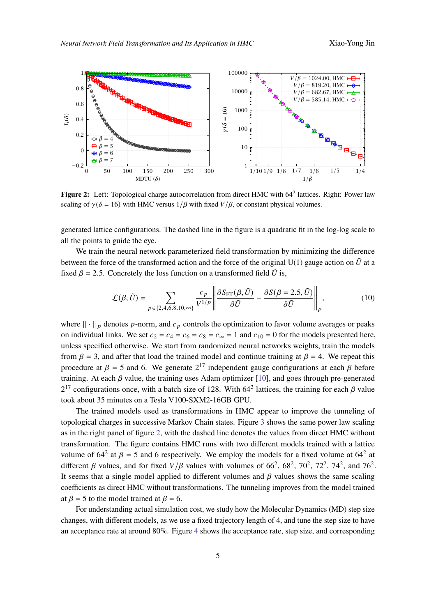<span id="page-4-0"></span>

Figure 2: Left: Topological charge autocorrelation from direct HMC with 64<sup>2</sup> lattices. Right: Power law scaling of  $\gamma(\delta = 16)$  with HMC versus  $1/\beta$  with fixed  $V/\beta$ , or constant physical volumes.

generated lattice configurations. The dashed line in the figure is a quadratic fit in the log-log scale to all the points to guide the eye.

We train the neural network parameterized field transformation by minimizing the difference between the force of the transformed action and the force of the original U(1) gauge action on  $\tilde{U}$  at a fixed  $\beta = 2.5$ . Concretely the loss function on a transformed field  $\tilde{U}$  is,

<span id="page-4-1"></span>
$$
\mathcal{L}(\beta, \tilde{U}) = \sum_{p \in \{2, 4, 6, 8, 10, \infty\}} \frac{c_p}{V^{1/p}} \left\| \frac{\partial S_{\text{FT}}(\beta, \tilde{U})}{\partial \tilde{U}} - \frac{\partial S(\beta = 2.5, \tilde{U})}{\partial \tilde{U}} \right\|_p, \tag{10}
$$

where  $|| \cdot ||_p$  denotes p-norm, and  $c_p$  controls the optimization to favor volume averages or peaks on individual links. We set  $c_2 = c_4 = c_6 = c_8 = c_{\infty} = 1$  and  $c_{10} = 0$  for the models presented here, unless specified otherwise. We start from randomized neural networks weights, train the models from  $\beta = 3$ , and after that load the trained model and continue training at  $\beta = 4$ . We repeat this procedure at  $\beta = 5$  and 6. We generate  $2^{17}$  independent gauge configurations at each  $\beta$  before training. At each  $\beta$  value, the training uses Adam optimizer [\[10\]](#page-7-9), and goes through pre-generated  $2^{17}$  configurations once, with a batch size of 128. With 64<sup>2</sup> lattices, the training for each  $\beta$  value took about 35 minutes on a Tesla V100-SXM2-16GB GPU.

The trained models used as transformations in HMC appear to improve the tunneling of topological charges in successive Markov Chain states. Figure [3](#page-5-0) shows the same power law scaling as in the right panel of figure [2,](#page-4-0) with the dashed line denotes the values from direct HMC without transformation. The figure contains HMC runs with two different models trained with a lattice volume of  $64^2$  at  $\beta = 5$  and 6 respectively. We employ the models for a fixed volume at  $64^2$  at different  $\beta$  values, and for fixed  $V/\beta$  values with volumes of 66<sup>2</sup>, 68<sup>2</sup>, 70<sup>2</sup>, 72<sup>2</sup>, 74<sup>2</sup>, and 76<sup>2</sup>. It seems that a single model applied to different volumes and  $\beta$  values shows the same scaling coefficients as direct HMC without transformations. The tunneling improves from the model trained at  $\beta = 5$  to the model trained at  $\beta = 6$ .

For understanding actual simulation cost, we study how the Molecular Dynamics (MD) step size changes, with different models, as we use a fixed trajectory length of 4, and tune the step size to have an acceptance rate at around 80%. Figure [4](#page-5-1) shows the acceptance rate, step size, and corresponding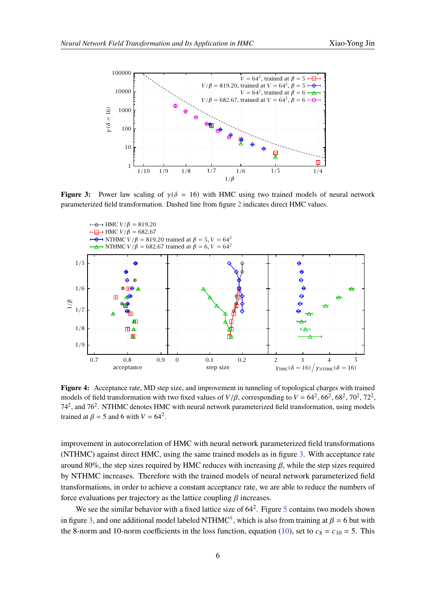<span id="page-5-0"></span>

**Figure 3:** Power law scaling of  $\gamma(\delta = 16)$  with HMC using two trained models of neural network parameterized field transformation. Dashed line from figure [2](#page-4-0) indicates direct HMC values.

<span id="page-5-1"></span>

**Figure 4:** Acceptance rate, MD step size, and improvement in tunneling of topological charges with trained models of field transformation with two fixed values of  $V/\beta$ , corresponding to  $V = 64^2, 66^2, 68^2, 70^2, 72^2$ , 74<sup>2</sup>, and 76<sup>2</sup>. NTHMC denotes HMC with neural network parameterized field transformation, using models trained at  $\beta = 5$  and 6 with  $V = 64^2$ .

improvement in autocorrelation of HMC with neural network parameterized field transformations (NTHMC) against direct HMC, using the same trained models as in figure [3.](#page-5-0) With acceptance rate around 80%, the step sizes required by HMC reduces with increasing  $\beta$ , while the step sizes required by NTHMC increases. Therefore with the trained models of neural network parameterized field transformations, in order to achieve a constant acceptance rate, we are able to reduce the numbers of force evaluations per trajectory as the lattice coupling  $\beta$  increases.

We see the similar behavior with a fixed lattice size of  $64^2$ . Figure [5](#page-6-1) contains two models shown in figure [3,](#page-5-0) and one additional model labeled NTHMC<sup>†</sup>, which is also from training at  $\beta = 6$  but with the 8-norm and 10-norm coefficients in the loss function, equation [\(10\)](#page-4-1), set to  $c_8 = c_{10} = 5$ . This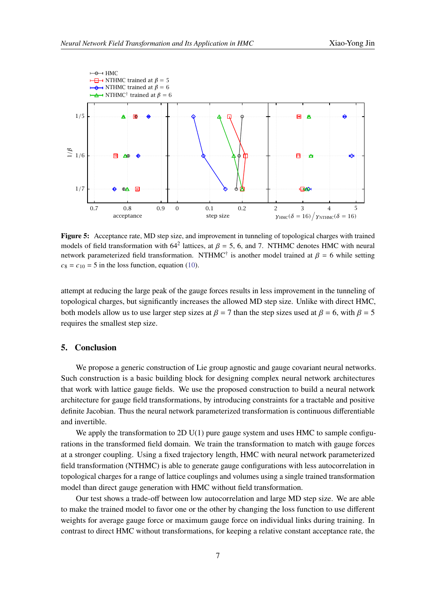<span id="page-6-1"></span>

**Figure 5:** Acceptance rate, MD step size, and improvement in tunneling of topological charges with trained models of field transformation with  $64^2$  lattices, at  $\beta = 5$ , 6, and 7. NTHMC denotes HMC with neural network parameterized field transformation. NTHMC<sup>†</sup> is another model trained at  $\beta = 6$  while setting  $c_8 = c_{10} = 5$  in the loss function, equation [\(10\)](#page-4-1).

attempt at reducing the large peak of the gauge forces results in less improvement in the tunneling of topological charges, but significantly increases the allowed MD step size. Unlike with direct HMC, both models allow us to use larger step sizes at  $\beta = 7$  than the step sizes used at  $\beta = 6$ , with  $\beta = 5$ requires the smallest step size.

## <span id="page-6-0"></span>**5. Conclusion**

We propose a generic construction of Lie group agnostic and gauge covariant neural networks. Such construction is a basic building block for designing complex neural network architectures that work with lattice gauge fields. We use the proposed construction to build a neural network architecture for gauge field transformations, by introducing constraints for a tractable and positive definite Jacobian. Thus the neural network parameterized transformation is continuous differentiable and invertible.

We apply the transformation to 2D  $U(1)$  pure gauge system and uses HMC to sample configurations in the transformed field domain. We train the transformation to match with gauge forces at a stronger coupling. Using a fixed trajectory length, HMC with neural network parameterized field transformation (NTHMC) is able to generate gauge configurations with less autocorrelation in topological charges for a range of lattice couplings and volumes using a single trained transformation model than direct gauge generation with HMC without field transformation.

Our test shows a trade-off between low autocorrelation and large MD step size. We are able to make the trained model to favor one or the other by changing the loss function to use different weights for average gauge force or maximum gauge force on individual links during training. In contrast to direct HMC without transformations, for keeping a relative constant acceptance rate, the